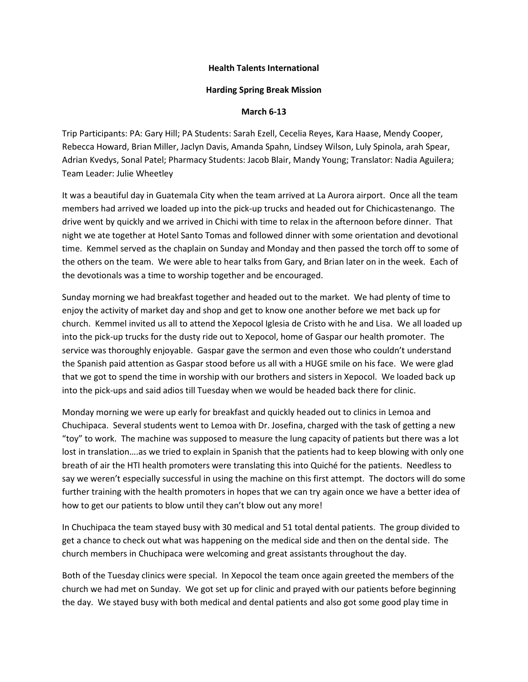## **Health Talents International**

## **Harding Spring Break Mission**

## **March 6-13**

Trip Participants: PA: Gary Hill; PA Students: Sarah Ezell, Cecelia Reyes, Kara Haase, Mendy Cooper, Rebecca Howard, Brian Miller, Jaclyn Davis, Amanda Spahn, Lindsey Wilson, Luly Spinola, arah Spear, Adrian Kvedys, Sonal Patel; Pharmacy Students: Jacob Blair, Mandy Young; Translator: Nadia Aguilera; Team Leader: Julie Wheetley

It was a beautiful day in Guatemala City when the team arrived at La Aurora airport. Once all the team members had arrived we loaded up into the pick-up trucks and headed out for Chichicastenango. The drive went by quickly and we arrived in Chichi with time to relax in the afternoon before dinner. That night we ate together at Hotel Santo Tomas and followed dinner with some orientation and devotional time. Kemmel served as the chaplain on Sunday and Monday and then passed the torch off to some of the others on the team. We were able to hear talks from Gary, and Brian later on in the week. Each of the devotionals was a time to worship together and be encouraged.

Sunday morning we had breakfast together and headed out to the market. We had plenty of time to enjoy the activity of market day and shop and get to know one another before we met back up for church. Kemmel invited us all to attend the Xepocol Iglesia de Cristo with he and Lisa. We all loaded up into the pick-up trucks for the dusty ride out to Xepocol, home of Gaspar our health promoter. The service was thoroughly enjoyable. Gaspar gave the sermon and even those who couldn't understand the Spanish paid attention as Gaspar stood before us all with a HUGE smile on his face. We were glad that we got to spend the time in worship with our brothers and sisters in Xepocol. We loaded back up into the pick-ups and said adios till Tuesday when we would be headed back there for clinic.

Monday morning we were up early for breakfast and quickly headed out to clinics in Lemoa and Chuchipaca. Several students went to Lemoa with Dr. Josefina, charged with the task of getting a new "toy" to work. The machine was supposed to measure the lung capacity of patients but there was a lot lost in translation….as we tried to explain in Spanish that the patients had to keep blowing with only one breath of air the HTI health promoters were translating this into Quiché for the patients. Needless to say we weren't especially successful in using the machine on this first attempt. The doctors will do some further training with the health promoters in hopes that we can try again once we have a better idea of how to get our patients to blow until they can't blow out any more!

In Chuchipaca the team stayed busy with 30 medical and 51 total dental patients. The group divided to get a chance to check out what was happening on the medical side and then on the dental side. The church members in Chuchipaca were welcoming and great assistants throughout the day.

Both of the Tuesday clinics were special. In Xepocol the team once again greeted the members of the church we had met on Sunday. We got set up for clinic and prayed with our patients before beginning the day. We stayed busy with both medical and dental patients and also got some good play time in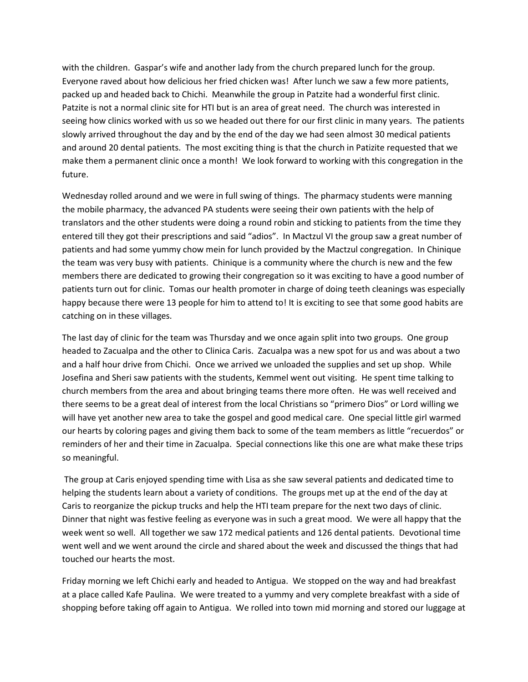with the children. Gaspar's wife and another lady from the church prepared lunch for the group. Everyone raved about how delicious her fried chicken was! After lunch we saw a few more patients, packed up and headed back to Chichi. Meanwhile the group in Patzite had a wonderful first clinic. Patzite is not a normal clinic site for HTI but is an area of great need. The church was interested in seeing how clinics worked with us so we headed out there for our first clinic in many years. The patients slowly arrived throughout the day and by the end of the day we had seen almost 30 medical patients and around 20 dental patients. The most exciting thing is that the church in Patizite requested that we make them a permanent clinic once a month! We look forward to working with this congregation in the future.

Wednesday rolled around and we were in full swing of things. The pharmacy students were manning the mobile pharmacy, the advanced PA students were seeing their own patients with the help of translators and the other students were doing a round robin and sticking to patients from the time they entered till they got their prescriptions and said "adios". In Mactzul VI the group saw a great number of patients and had some yummy chow mein for lunch provided by the Mactzul congregation. In Chinique the team was very busy with patients. Chinique is a community where the church is new and the few members there are dedicated to growing their congregation so it was exciting to have a good number of patients turn out for clinic. Tomas our health promoter in charge of doing teeth cleanings was especially happy because there were 13 people for him to attend to! It is exciting to see that some good habits are catching on in these villages.

The last day of clinic for the team was Thursday and we once again split into two groups. One group headed to Zacualpa and the other to Clinica Caris. Zacualpa was a new spot for us and was about a two and a half hour drive from Chichi. Once we arrived we unloaded the supplies and set up shop. While Josefina and Sheri saw patients with the students, Kemmel went out visiting. He spent time talking to church members from the area and about bringing teams there more often. He was well received and there seems to be a great deal of interest from the local Christians so "primero Dios" or Lord willing we will have yet another new area to take the gospel and good medical care. One special little girl warmed our hearts by coloring pages and giving them back to some of the team members as little "recuerdos" or reminders of her and their time in Zacualpa. Special connections like this one are what make these trips so meaningful.

The group at Caris enjoyed spending time with Lisa as she saw several patients and dedicated time to helping the students learn about a variety of conditions. The groups met up at the end of the day at Caris to reorganize the pickup trucks and help the HTI team prepare for the next two days of clinic. Dinner that night was festive feeling as everyone was in such a great mood. We were all happy that the week went so well. All together we saw 172 medical patients and 126 dental patients. Devotional time went well and we went around the circle and shared about the week and discussed the things that had touched our hearts the most.

Friday morning we left Chichi early and headed to Antigua. We stopped on the way and had breakfast at a place called Kafe Paulina. We were treated to a yummy and very complete breakfast with a side of shopping before taking off again to Antigua. We rolled into town mid morning and stored our luggage at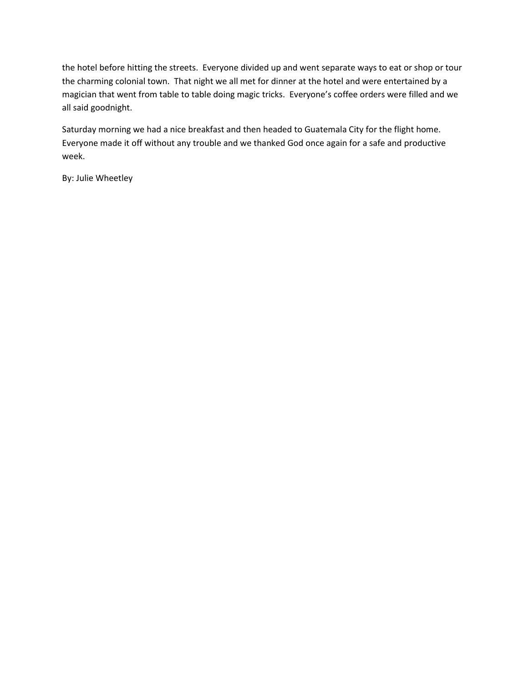the hotel before hitting the streets. Everyone divided up and went separate ways to eat or shop or tour the charming colonial town. That night we all met for dinner at the hotel and were entertained by a magician that went from table to table doing magic tricks. Everyone's coffee orders were filled and we all said goodnight.

Saturday morning we had a nice breakfast and then headed to Guatemala City for the flight home. Everyone made it off without any trouble and we thanked God once again for a safe and productive week.

By: Julie Wheetley